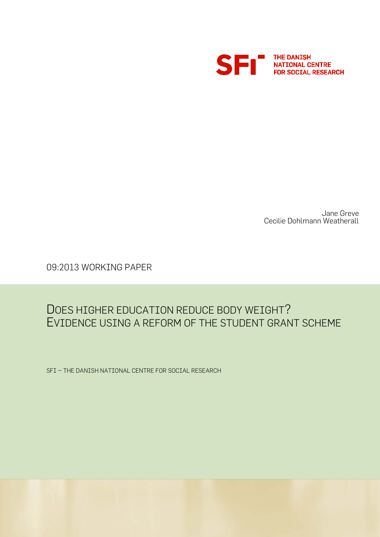

Jane Greve Cecilie Dohlmann Weatherall

09:2013 WORKING PAPER

## DOES HIGHER EDUCATION REDUCE BODY WEIGHT? EVIDENCE USING A REFORM OF THE STUDENT GRANT SCHEME

SFI – THE DANISH NATIONAL CENTRE FOR SOCIAL RESEARCH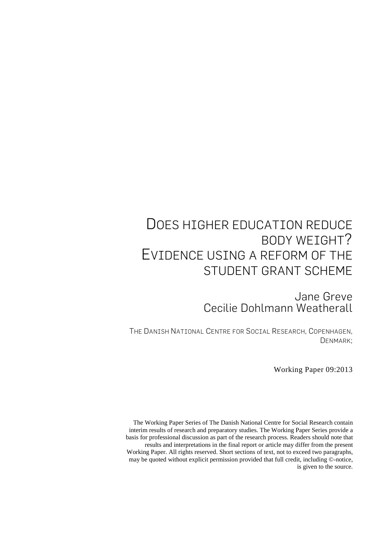# DOES HIGHER EDUCATION REDUCE BODY WEIGHT? EVIDENCE USING A REFORM OF THE STUDENT GRANT SCHEME

Jane Greve Cecilie Dohlmann Weatherall

THE DANISH NATIONAL CENTRE FOR SOCIAL RESEARCH, COPENHAGEN, DENMARK;

Working Paper 09:2013

The Working Paper Series of The Danish National Centre for Social Research contain interim results of research and preparatory studies. The Working Paper Series provide a basis for professional discussion as part of the research process. Readers should note that results and interpretations in the final report or article may differ from the present Working Paper. All rights reserved. Short sections of text, not to exceed two paragraphs, may be quoted without explicit permission provided that full credit, including ©-notice, is given to the source.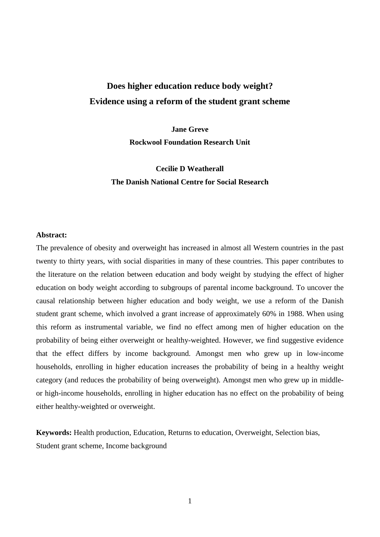### **Does higher education reduce body weight? Evidence using a reform of the student grant scheme**

**Jane Greve Rockwool Foundation Research Unit** 

**Cecilie D Weatherall The Danish National Centre for Social Research**

#### **Abstract:**

The prevalence of obesity and overweight has increased in almost all Western countries in the past twenty to thirty years, with social disparities in many of these countries. This paper contributes to the literature on the relation between education and body weight by studying the effect of higher education on body weight according to subgroups of parental income background. To uncover the causal relationship between higher education and body weight, we use a reform of the Danish student grant scheme, which involved a grant increase of approximately 60% in 1988. When using this reform as instrumental variable, we find no effect among men of higher education on the probability of being either overweight or healthy-weighted. However, we find suggestive evidence that the effect differs by income background. Amongst men who grew up in low-income households, enrolling in higher education increases the probability of being in a healthy weight category (and reduces the probability of being overweight). Amongst men who grew up in middleor high-income households, enrolling in higher education has no effect on the probability of being either healthy-weighted or overweight.

**Keywords:** Health production, Education, Returns to education, Overweight, Selection bias, Student grant scheme, Income background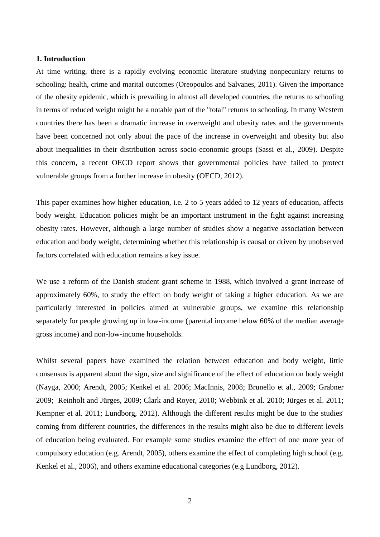#### **1. Introduction**

At time writing, there is a rapidly evolving economic literature studying nonpecuniary returns to schooling: health, crime and marital outcomes (Oreopoulos and Salvanes, 2011). Given the importance of the obesity epidemic, which is prevailing in almost all developed countries, the returns to schooling in terms of reduced weight might be a notable part of the "total" returns to schooling. In many Western countries there has been a dramatic increase in overweight and obesity rates and the governments have been concerned not only about the pace of the increase in overweight and obesity but also about inequalities in their distribution across socio-economic groups (Sassi et al., 2009). Despite this concern, a recent OECD report shows that governmental policies have failed to protect vulnerable groups from a further increase in obesity (OECD, 2012).

This paper examines how higher education, i.e. 2 to 5 years added to 12 years of education, affects body weight. Education policies might be an important instrument in the fight against increasing obesity rates. However, although a large number of studies show a negative association between education and body weight, determining whether this relationship is causal or driven by unobserved factors correlated with education remains a key issue.

We use a reform of the Danish student grant scheme in 1988, which involved a grant increase of approximately 60%, to study the effect on body weight of taking a higher education. As we are particularly interested in policies aimed at vulnerable groups, we examine this relationship separately for people growing up in low-income (parental income below 60% of the median average gross income) and non-low-income households.

Whilst several papers have examined the relation between education and body weight, little consensus is apparent about the sign, size and significance of the effect of education on body weight (Nayga, 2000; Arendt, 2005; Kenkel et al. 2006; MacInnis, 2008; Brunello et al., 2009; Grabner 2009; Reinholt and Jürges, 2009; Clark and Royer, 2010; Webbink et al. 2010; Jürges et al. 2011; Kempner et al. 2011; Lundborg, 2012). Although the different results might be due to the studies' coming from different countries, the differences in the results might also be due to different levels of education being evaluated. For example some studies examine the effect of one more year of compulsory education (e.g. Arendt, 2005), others examine the effect of completing high school (e.g. Kenkel et al., 2006), and others examine educational categories (e.g Lundborg, 2012).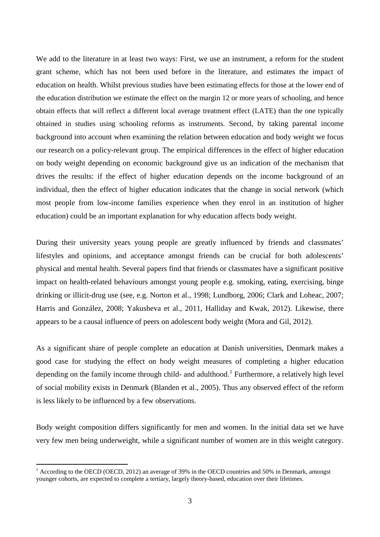We add to the literature in at least two ways: First, we use an instrument, a reform for the student grant scheme, which has not been used before in the literature, and estimates the impact of education on health. Whilst previous studies have been estimating effects for those at the lower end of the education distribution we estimate the effect on the margin 12 or more years of schooling, and hence obtain effects that will reflect a different local average treatment effect (LATE) than the one typically obtained in studies using schooling reforms as instruments. Second, by taking parental income background into account when examining the relation between education and body weight we focus our research on a policy-relevant group. The empirical differences in the effect of higher education on body weight depending on economic background give us an indication of the mechanism that drives the results: if the effect of higher education depends on the income background of an individual, then the effect of higher education indicates that the change in social network (which most people from low-income families experience when they enrol in an institution of higher education) could be an important explanation for why education affects body weight.

During their university years young people are greatly influenced by friends and classmates' lifestyles and opinions, and acceptance amongst friends can be crucial for both adolescents' physical and mental health. Several papers find that friends or classmates have a significant positive impact on health-related behaviours amongst young people e.g. smoking, eating, exercising, binge drinking or illicit-drug use (see, e.g. Norton et al., 1998; Lundborg, 2006; Clark and Loheac, 2007; Harris and González, 2008; Yakusheva et al., 2011, Halliday and Kwak, 2012). Likewise, there appears to be a causal influence of peers on adolescent body weight (Mora and Gil, 2012).

As a significant share of people complete an education at Danish universities, Denmark makes a good case for studying the effect on body weight measures of completing a higher education depending on the family income through child- and adulthood.<sup>[1](#page-4-0)</sup> Furthermore, a relatively high level of social mobility exists in Denmark (Blanden et al., 2005). Thus any observed effect of the reform is less likely to be influenced by a few observations.

Body weight composition differs significantly for men and women. In the initial data set we have very few men being underweight, while a significant number of women are in this weight category.

<span id="page-4-0"></span><sup>&</sup>lt;sup>1</sup> According to the OECD (OECD, 2012) an average of 39% in the OECD countries and 50% in Denmark, amongst younger cohorts, are expected to complete a tertiary, largely theory-based, education over their lifetimes.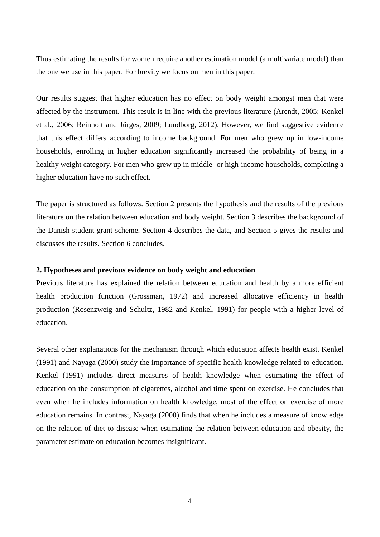Thus estimating the results for women require another estimation model (a multivariate model) than the one we use in this paper. For brevity we focus on men in this paper.

Our results suggest that higher education has no effect on body weight amongst men that were affected by the instrument. This result is in line with the previous literature (Arendt, 2005; Kenkel et al., 2006; Reinholt and Jürges, 2009; Lundborg, 2012). However, we find suggestive evidence that this effect differs according to income background. For men who grew up in low-income households, enrolling in higher education significantly increased the probability of being in a healthy weight category. For men who grew up in middle- or high-income households, completing a higher education have no such effect.

The paper is structured as follows. Section 2 presents the hypothesis and the results of the previous literature on the relation between education and body weight. Section 3 describes the background of the Danish student grant scheme. Section 4 describes the data, and Section 5 gives the results and discusses the results. Section 6 concludes.

#### **2. Hypotheses and previous evidence on body weight and education**

Previous literature has explained the relation between education and health by a more efficient health production function (Grossman, 1972) and increased allocative efficiency in health production (Rosenzweig and Schultz, 1982 and Kenkel, 1991) for people with a higher level of education.

Several other explanations for the mechanism through which education affects health exist. Kenkel (1991) and Nayaga (2000) study the importance of specific health knowledge related to education. Kenkel (1991) includes direct measures of health knowledge when estimating the effect of education on the consumption of cigarettes, alcohol and time spent on exercise. He concludes that even when he includes information on health knowledge, most of the effect on exercise of more education remains. In contrast, Nayaga (2000) finds that when he includes a measure of knowledge on the relation of diet to disease when estimating the relation between education and obesity, the parameter estimate on education becomes insignificant.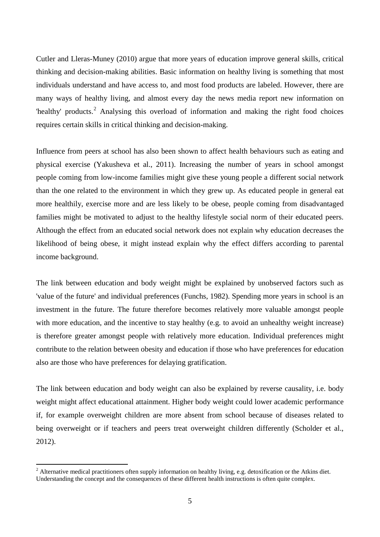Cutler and Lleras-Muney (2010) argue that more years of education improve general skills, critical thinking and decision-making abilities. Basic information on healthy living is something that most individuals understand and have access to, and most food products are labeled. However, there are many ways of healthy living, and almost every day the news media report new information on 'healthy' products.<sup>[2](#page-6-0)</sup> Analysing this overload of information and making the right food choices requires certain skills in critical thinking and decision-making.

Influence from peers at school has also been shown to affect health behaviours such as eating and physical exercise (Yakusheva et al., 2011). Increasing the number of years in school amongst people coming from low-income families might give these young people a different social network than the one related to the environment in which they grew up. As educated people in general eat more healthily, exercise more and are less likely to be obese, people coming from disadvantaged families might be motivated to adjust to the healthy lifestyle social norm of their educated peers. Although the effect from an educated social network does not explain why education decreases the likelihood of being obese, it might instead explain why the effect differs according to parental income background.

The link between education and body weight might be explained by unobserved factors such as 'value of the future' and individual preferences (Funchs, 1982). Spending more years in school is an investment in the future. The future therefore becomes relatively more valuable amongst people with more education, and the incentive to stay healthy (e.g. to avoid an unhealthy weight increase) is therefore greater amongst people with relatively more education. Individual preferences might contribute to the relation between obesity and education if those who have preferences for education also are those who have preferences for delaying gratification.

The link between education and body weight can also be explained by reverse causality, i.e. body weight might affect educational attainment. Higher body weight could lower academic performance if, for example overweight children are more absent from school because of diseases related to being overweight or if teachers and peers treat overweight children differently (Scholder et al., 2012).

<span id="page-6-0"></span><sup>&</sup>lt;sup>2</sup> Alternative medical practitioners often supply information on healthy living, e.g. detoxification or the Atkins diet. Understanding the concept and the consequences of these different health instructions is often quite complex.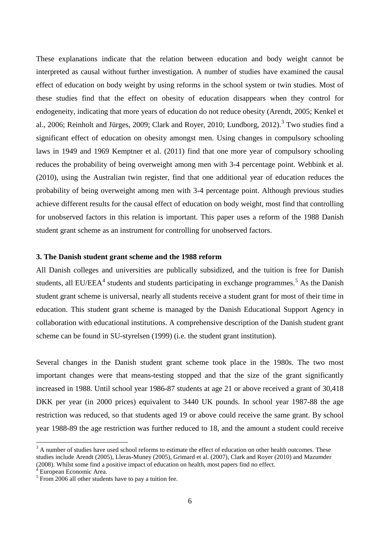These explanations indicate that the relation between education and body weight cannot be interpreted as causal without further investigation. A number of studies have examined the causal effect of education on body weight by using reforms in the school system or twin studies. Most of these studies find that the effect on obesity of education disappears when they control for endogeneity, indicating that more years of education do not reduce obesity (Arendt, 2005; Kenkel et al., 2006; Reinholt and Jürges, 2009; Clark and Royer, 2010; Lundborg, 2012).<sup>[3](#page-8-0)</sup> Two studies find a significant effect of education on obesity amongst men. Using changes in compulsory schooling laws in 1949 and 1969 Kemptner et al. (2011) find that one more year of compulsory schooling reduces the probability of being overweight among men with 3-4 percentage point. Webbink et al. (2010), using the Australian twin register, find that one additional year of education reduces the probability of being overweight among men with 3-4 percentage point. Although previous studies achieve different results for the causal effect of education on body weight, most find that controlling for unobserved factors in this relation is important. This paper uses a reform of the 1988 Danish student grant scheme as an instrument for controlling for unobserved factors.

#### **3. The Danish student grant scheme and the 1988 reform**

All Danish colleges and universities are publically subsidized, and the tuition is free for Danish students, all EU/EEA<sup>[4](#page-8-1)</sup> students and students participating in exchange programmes.<sup>[5](#page-8-2)</sup> As the Danish student grant scheme is universal, nearly all students receive a student grant for most of their time in education. This student grant scheme is managed by the Danish Educational Support Agency in collaboration with educational institutions. A comprehensive description of the Danish student grant scheme can be found in SU-styrelsen (1999) (i.e. the student grant institution).

Several changes in the Danish student grant scheme took place in the 1980s. The two most important changes were that means-testing stopped and that the size of the grant significantly increased in 1988. Until school year 1986-87 students at age 21 or above received a grant of 30,418 DKK per year (in 2000 prices) equivalent to 3440 UK pounds. In school year 1987-88 the age restriction was reduced, so that students aged 19 or above could receive the same grant. By school year 1988-89 the age restriction was further reduced to 18, and the amount a student could receive

 $3$  A number of studies have used school reforms to estimate the effect of education on other health outcomes. These studies include Arendt (2005), Lleras-Muney (2005), Grimard et al. (2007), Clark and Royer (2010) and Mazumder (2008). Whilst some find a positive impact of education on health, most papers find no effect.

European Economic Area.

 $5 \text{ From } 2006$  all other students have to pay a tuition fee.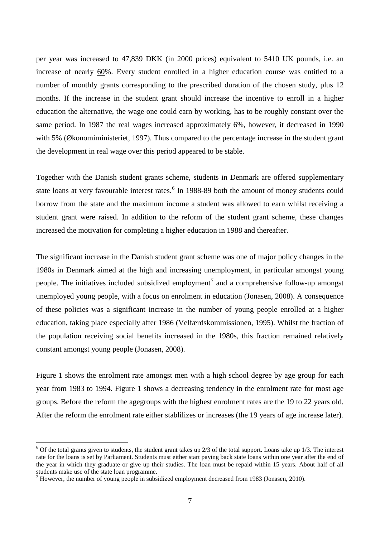per year was increased to 47,839 DKK (in 2000 prices) equivalent to 5410 UK pounds, i.e. an increase of nearly 60%. Every student enrolled in a higher education course was entitled to a number of monthly grants corresponding to the prescribed duration of the chosen study, plus 12 months. If the increase in the student grant should increase the incentive to enroll in a higher education the alternative, the wage one could earn by working, has to be roughly constant over the same period. In 1987 the real wages increased approximately 6%, however, it decreased in 1990 with 5% (Økonomiministeriet, 1997). Thus compared to the percentage increase in the student grant the development in real wage over this period appeared to be stable.

Together with the Danish student grants scheme, students in Denmark are offered supplementary state loans at very favourable interest rates.<sup>[6](#page-9-0)</sup> In 1988-89 both the amount of money students could borrow from the state and the maximum income a student was allowed to earn whilst receiving a student grant were raised. In addition to the reform of the student grant scheme, these changes increased the motivation for completing a higher education in 1988 and thereafter.

The significant increase in the Danish student grant scheme was one of major policy changes in the 1980s in Denmark aimed at the high and increasing unemployment, in particular amongst young people. The initiatives included subsidized employment<sup>[7](#page-9-1)</sup> and a comprehensive follow-up amongst unemployed young people, with a focus on enrolment in education (Jonasen, 2008). A consequence of these policies was a significant increase in the number of young people enrolled at a higher education, taking place especially after 1986 (Velfærdskommissionen, 1995). Whilst the fraction of the population receiving social benefits increased in the 1980s, this fraction remained relatively constant amongst young people (Jonasen, 2008).

Figure 1 shows the enrolment rate amongst men with a high school degree by age group for each year from 1983 to 1994. Figure 1 shows a decreasing tendency in the enrolment rate for most age groups. Before the reform the agegroups with the highest enrolment rates are the 19 to 22 years old. After the reform the enrolment rate either stablilizes or increases (the 19 years of age increase later).

<span id="page-8-0"></span> $6$  Of the total grants given to students, the student grant takes up  $2/3$  of the total support. Loans take up  $1/3$ . The interest rate for the loans is set by Parliament. Students must either start paying back state loans within one year after the end of the year in which they graduate or give up their studies. The loan must be repaid within 15 years. About half of all

<span id="page-8-2"></span><span id="page-8-1"></span><sup>&</sup>lt;sup>7</sup> However, the number of young people in subsidized employment decreased from 1983 (Jonasen, 2010).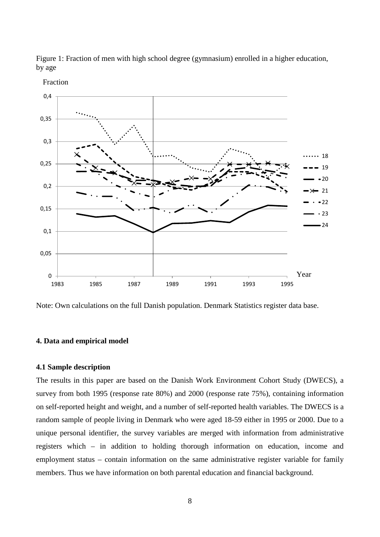



Fraction

Note: Own calculations on the full Danish population. Denmark Statistics register data base.

#### **4. Data and empirical model**

#### **4.1 Sample description**

<span id="page-9-1"></span><span id="page-9-0"></span>The results in this paper are based on the Danish Work Environment Cohort Study (DWECS), a survey from both 1995 (response rate 80%) and 2000 (response rate 75%), containing information on self-reported height and weight, and a number of self-reported health variables. The DWECS is a random sample of people living in Denmark who were aged 18-59 either in 1995 or 2000. Due to a unique personal identifier, the survey variables are merged with information from administrative registers which – in addition to holding thorough information on education, income and employment status – contain information on the same administrative register variable for family members. Thus we have information on both parental education and financial background.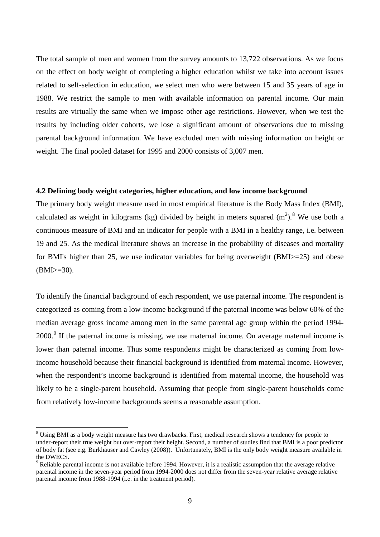The total sample of men and women from the survey amounts to 13,722 observations. As we focus on the effect on body weight of completing a higher education whilst we take into account issues related to self-selection in education, we select men who were between 15 and 35 years of age in 1988. We restrict the sample to men with available information on parental income. Our main results are virtually the same when we impose other age restrictions. However, when we test the results by including older cohorts, we lose a significant amount of observations due to missing parental background information. We have excluded men with missing information on height or weight. The final pooled dataset for 1995 and 2000 consists of 3,007 men.

#### **4.2 Defining body weight categories, higher education, and low income background**

The primary body weight measure used in most empirical literature is the Body Mass Index (BMI), calculated as weight in kilograms (kg) divided by height in meters squared  $(m^2)$ .<sup>[8](#page-12-0)</sup> We use both a continuous measure of BMI and an indicator for people with a BMI in a healthy range, i.e. between 19 and 25. As the medical literature shows an increase in the probability of diseases and mortality for BMI's higher than 25, we use indicator variables for being overweight (BMI>=25) and obese  $(BMI>=30)$ .

To identify the financial background of each respondent, we use paternal income. The respondent is categorized as coming from a low-income background if the paternal income was below 60% of the median average gross income among men in the same parental age group within the period 1994- 2000.<sup>[9](#page-12-1)</sup> If the paternal income is missing, we use maternal income. On average maternal income is lower than paternal income. Thus some respondents might be characterized as coming from lowincome household because their financial background is identified from maternal income. However, when the respondent's income background is identified from maternal income, the household was likely to be a single-parent household. Assuming that people from single-parent households come from relatively low-income backgrounds seems a reasonable assumption.

<sup>&</sup>lt;sup>8</sup> Using BMI as a body weight measure has two drawbacks. First, medical research shows a tendency for people to under-report their true weight but over-report their height. Second, a number of studies find that BMI is a poor predictor of body fat (see e.g. Burkhauser and Cawley (2008)). Unfortunately, BMI is the only body weight measure available in the DWECS.<br><sup>9</sup> Reliable parental income is not available before 1994. However, it is a realistic assumption that the average relative

parental income in the seven-year period from 1994-2000 does not differ from the seven-year relative average relative parental income from 1988-1994 (i.e. in the treatment period).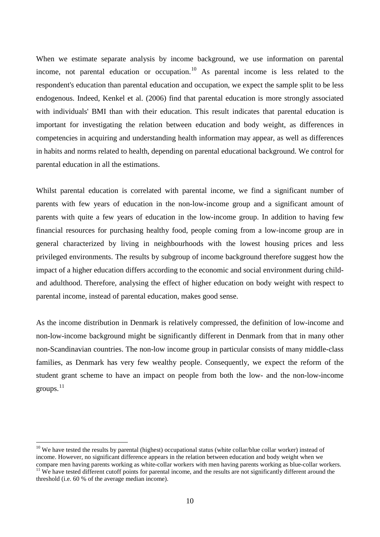When we estimate separate analysis by income background, we use information on parental income, not parental education or occupation.<sup>[10](#page-13-0)</sup> As parental income is less related to the respondent's education than parental education and occupation, we expect the sample split to be less endogenous. Indeed, Kenkel et al. (2006) find that parental education is more strongly associated with individuals' BMI than with their education. This result indicates that parental education is important for investigating the relation between education and body weight, as differences in competencies in acquiring and understanding health information may appear, as well as differences in habits and norms related to health, depending on parental educational background. We control for parental education in all the estimations.

Whilst parental education is correlated with parental income, we find a significant number of parents with few years of education in the non-low-income group and a significant amount of parents with quite a few years of education in the low-income group. In addition to having few financial resources for purchasing healthy food, people coming from a low-income group are in general characterized by living in neighbourhoods with the lowest housing prices and less privileged environments. The results by subgroup of income background therefore suggest how the impact of a higher education differs according to the economic and social environment during childand adulthood. Therefore, analysing the effect of higher education on body weight with respect to parental income, instead of parental education, makes good sense.

As the income distribution in Denmark is relatively compressed, the definition of low-income and non-low-income background might be significantly different in Denmark from that in many other non-Scandinavian countries. The non-low income group in particular consists of many middle-class families, as Denmark has very few wealthy people. Consequently, we expect the reform of the student grant scheme to have an impact on people from both the low- and the non-low-income  $groups.<sup>11</sup>$  $groups.<sup>11</sup>$  $groups.<sup>11</sup>$ 

 $10$  We have tested the results by parental (highest) occupational status (white collar/blue collar worker) instead of income. However, no significant difference appears in the relation between education and body weight when we compare men having parents working as white-collar workers with men having parents working as blue-collar workers  $11$  We have tested different cutoff points for parental income, and the results are not significantly different around the threshold (i.e. 60 % of the average median income).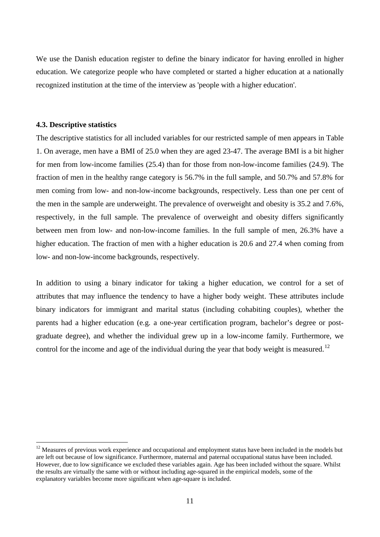We use the Danish education register to define the binary indicator for having enrolled in higher education. We categorize people who have completed or started a higher education at a nationally recognized institution at the time of the interview as 'people with a higher education'.

#### **4.3. Descriptive statistics**

The descriptive statistics for all included variables for our restricted sample of men appears in Table 1. On average, men have a BMI of 25.0 when they are aged 23-47. The average BMI is a bit higher for men from low-income families (25.4) than for those from non-low-income families (24.9). The fraction of men in the healthy range category is 56.7% in the full sample, and 50.7% and 57.8% for men coming from low- and non-low-income backgrounds, respectively. Less than one per cent of the men in the sample are underweight. The prevalence of overweight and obesity is 35.2 and 7.6%, respectively, in the full sample. The prevalence of overweight and obesity differs significantly between men from low- and non-low-income families. In the full sample of men, 26.3% have a higher education. The fraction of men with a higher education is 20.6 and 27.4 when coming from low- and non-low-income backgrounds, respectively.

In addition to using a binary indicator for taking a higher education, we control for a set of attributes that may influence the tendency to have a higher body weight. These attributes include binary indicators for immigrant and marital status (including cohabiting couples), whether the parents had a higher education (e.g. a one-year certification program, bachelor's degree or postgraduate degree), and whether the individual grew up in a low-income family. Furthermore, we control for the income and age of the individual during the year that body weight is measured.<sup>[12](#page-14-1)</sup>

<span id="page-12-1"></span><span id="page-12-0"></span> $12$  Measures of previous work experience and occupational and employment status have been included in the models but are left out because of low significance. Furthermore, maternal and paternal occupational status have been included. However, due to low significance we excluded these variables again. Age has been included without the square. Whilst the results are virtually the same with or without including age-squared in the empirical models, some of the explanatory variables become more significant when age-square is included.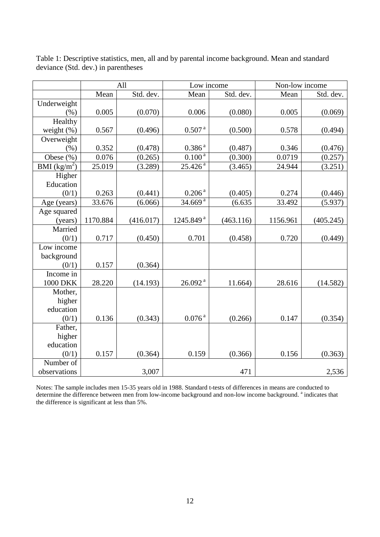|                    |          | All       | Low income            |           | Non-low income |           |
|--------------------|----------|-----------|-----------------------|-----------|----------------|-----------|
|                    | Mean     | Std. dev. | Mean                  | Std. dev. | Mean           | Std. dev. |
| Underweight        |          |           |                       |           |                |           |
| (% )               | 0.005    | (0.070)   | 0.006                 | (0.080)   | 0.005          | (0.069)   |
| Healthy            |          |           |                       |           |                |           |
| weight $(\% )$     | 0.567    | (0.496)   | 0.507 <sup>a</sup>    | (0.500)   | 0.578          | (0.494)   |
| Overweight         |          |           |                       |           |                |           |
| (% )               | 0.352    | (0.478)   | 0.386 <sup>a</sup>    | (0.487)   | 0.346          | (0.476)   |
| Obese (%)          | 0.076    | (0.265)   | $0.100^{a}$           | (0.300)   | 0.0719         | (0.257)   |
| BMI $(kg/m^2)$     | 25.019   | (3.289)   | $25.426^{a}$          | (3.465)   | 24.944         | (3.251)   |
| Higher             |          |           |                       |           |                |           |
| Education          |          |           |                       |           |                |           |
| (0/1)              | 0.263    | (0.441)   | $0.206$ $^{\rm a}$    | (0.405)   | 0.274          | (0.446)   |
| Age (years)        | 33.676   | (6.066)   | 34.669 <sup>a</sup>   | (6.635)   | 33.492         | (5.937)   |
| Age squared        |          |           |                       |           |                |           |
| (years)            | 1170.884 | (416.017) | 1245.849 <sup>a</sup> | (463.116) | 1156.961       | (405.245) |
| Married            |          |           |                       |           |                |           |
| (0/1)              | 0.717    | (0.450)   | 0.701                 | (0.458)   | 0.720          | (0.449)   |
| Low income         |          |           |                       |           |                |           |
| background         |          |           |                       |           |                |           |
| (0/1)              | 0.157    | (0.364)   |                       |           |                |           |
| Income in          |          |           |                       |           |                |           |
| <b>1000 DKK</b>    | 28.220   | (14.193)  | $26.092$ <sup>a</sup> | 11.664)   | 28.616         | (14.582)  |
| Mother,            |          |           |                       |           |                |           |
| higher             |          |           |                       |           |                |           |
| education          |          |           |                       |           |                |           |
| (0/1)              | 0.136    | (0.343)   | $0.076^{\,\rm a}$     | (0.266)   | 0.147          | (0.354)   |
| Father,            |          |           |                       |           |                |           |
| higher             |          |           |                       |           |                |           |
| education          |          |           |                       |           |                |           |
| (0/1)<br>Number of | 0.157    | (0.364)   | 0.159                 | (0.366)   | 0.156          | (0.363)   |
| observations       |          |           |                       | 471       |                |           |
|                    |          | 3,007     |                       |           |                | 2,536     |

Table 1: Descriptive statistics, men, all and by parental income background. Mean and standard deviance (Std. dev.) in parentheses

<span id="page-13-0"></span>Notes: The sample includes men 15-35 years old in 1988. Standard t-tests of differences in means are conducted to determine the difference between men from low-income background and non-low income background.<sup>a</sup> indicates that the difference is significant at less than 5%.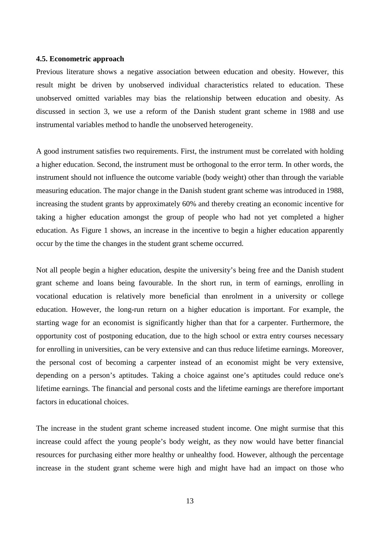#### **4.5. Econometric approach**

Previous literature shows a negative association between education and obesity. However, this result might be driven by unobserved individual characteristics related to education. These unobserved omitted variables may bias the relationship between education and obesity. As discussed in section 3, we use a reform of the Danish student grant scheme in 1988 and use instrumental variables method to handle the unobserved heterogeneity.

A good instrument satisfies two requirements. First, the instrument must be correlated with holding a higher education. Second, the instrument must be orthogonal to the error term. In other words, the instrument should not influence the outcome variable (body weight) other than through the variable measuring education. The major change in the Danish student grant scheme was introduced in 1988, increasing the student grants by approximately 60% and thereby creating an economic incentive for taking a higher education amongst the group of people who had not yet completed a higher education. As Figure 1 shows, an increase in the incentive to begin a higher education apparently occur by the time the changes in the student grant scheme occurred.

Not all people begin a higher education, despite the university's being free and the Danish student grant scheme and loans being favourable. In the short run, in term of earnings, enrolling in vocational education is relatively more beneficial than enrolment in a university or college education. However, the long-run return on a higher education is important. For example, the starting wage for an economist is significantly higher than that for a carpenter. Furthermore, the opportunity cost of postponing education, due to the high school or extra entry courses necessary for enrolling in universities, can be very extensive and can thus reduce lifetime earnings. Moreover, the personal cost of becoming a carpenter instead of an economist might be very extensive, depending on a person's aptitudes. Taking a choice against one's aptitudes could reduce one's lifetime earnings. The financial and personal costs and the lifetime earnings are therefore important factors in educational choices.

<span id="page-14-1"></span><span id="page-14-0"></span>The increase in the student grant scheme increased student income. One might surmise that this increase could affect the young people's body weight, as they now would have better financial resources for purchasing either more healthy or unhealthy food. However, although the percentage increase in the student grant scheme were high and might have had an impact on those who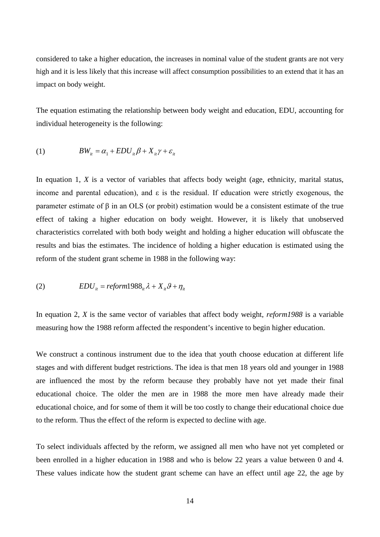considered to take a higher education, the increases in nominal value of the student grants are not very high and it is less likely that this increase will affect consumption possibilities to an extend that it has an impact on body weight.

The equation estimating the relationship between body weight and education, EDU, accounting for individual heterogeneity is the following:

(1) 
$$
BW_{it} = \alpha_1 + EDU_{it}\beta + X_{it}\gamma + \varepsilon_{it}
$$

In equation 1, *X* is a vector of variables that affects body weight (age, ethnicity, marital status, income and parental education), and  $\varepsilon$  is the residual. If education were strictly exogenous, the parameter estimate of β in an OLS (or probit) estimation would be a consistent estimate of the true effect of taking a higher education on body weight. However, it is likely that unobserved characteristics correlated with both body weight and holding a higher education will obfuscate the results and bias the estimates. The incidence of holding a higher education is estimated using the reform of the student grant scheme in 1988 in the following way:

(2) 
$$
EDU_{i} = reform1988_{i} \lambda + X_{i} \theta + \eta_{i}
$$

In equation 2, *X* is the same vector of variables that affect body weight, *reform1988* is a variable measuring how the 1988 reform affected the respondent's incentive to begin higher education.

We construct a continous instrument due to the idea that youth choose education at different life stages and with different budget restrictions. The idea is that men 18 years old and younger in 1988 are influenced the most by the reform because they probably have not yet made their final educational choice. The older the men are in 1988 the more men have already made their educational choice, and for some of them it will be too costly to change their educational choice due to the reform. Thus the effect of the reform is expected to decline with age.

To select individuals affected by the reform, we assigned all men who have not yet completed or been enrolled in a higher education in 1988 and who is below 22 years a value between 0 and 4. These values indicate how the student grant scheme can have an effect until age 22, the age by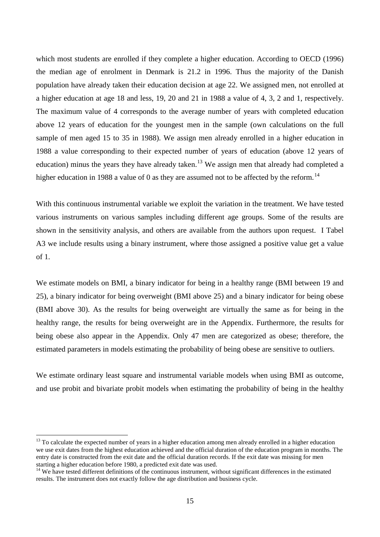which most students are enrolled if they complete a higher education. According to OECD (1996) the median age of enrolment in Denmark is 21.2 in 1996. Thus the majority of the Danish population have already taken their education decision at age 22. We assigned men, not enrolled at a higher education at age 18 and less, 19, 20 and 21 in 1988 a value of 4, 3, 2 and 1, respectively. The maximum value of 4 corresponds to the average number of years with completed education above 12 years of education for the youngest men in the sample (own calculations on the full sample of men aged 15 to 35 in 1988). We assign men already enrolled in a higher education in 1988 a value corresponding to their expected number of years of education (above 12 years of education) minus the years they have already taken.<sup>[13](#page-18-0)</sup> We assign men that already had completed a higher education in 1988 a value of 0 as they are assumed not to be affected by the reform.<sup>[14](#page-18-1)</sup>

With this continuous instrumental variable we exploit the variation in the treatment. We have tested various instruments on various samples including different age groups. Some of the results are shown in the sensitivity analysis, and others are available from the authors upon request. I Tabel A3 we include results using a binary instrument, where those assigned a positive value get a value of 1.

We estimate models on BMI, a binary indicator for being in a healthy range (BMI between 19 and 25), a binary indicator for being overweight (BMI above 25) and a binary indicator for being obese (BMI above 30). As the results for being overweight are virtually the same as for being in the healthy range, the results for being overweight are in the Appendix. Furthermore, the results for being obese also appear in the Appendix. Only 47 men are categorized as obese; therefore, the estimated parameters in models estimating the probability of being obese are sensitive to outliers.

We estimate ordinary least square and instrumental variable models when using BMI as outcome, and use probit and bivariate probit models when estimating the probability of being in the healthy

 $13$  To calculate the expected number of years in a higher education among men already enrolled in a higher education we use exit dates from the highest education achieved and the official duration of the education program in months. The entry date is constructed from the exit date and the official duration records. If the exit date was missing for men starting a higher education before 1980, a predicted exit date was used.

 $14$  We have tested different definitions of the continuous instrument, without significant differences in the estimated results. The instrument does not exactly follow the age distribution and business cycle.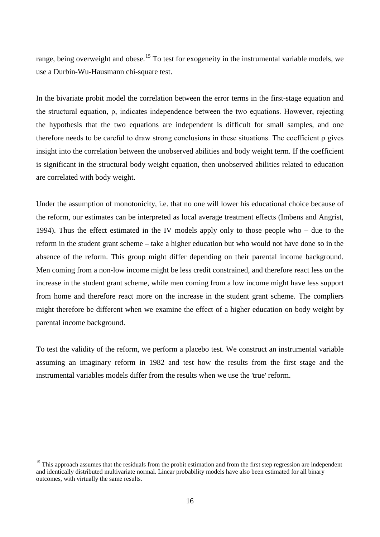range, being overweight and obese.<sup>[15](#page-19-0)</sup> To test for exogeneity in the instrumental variable models, we use a Durbin-Wu-Hausmann chi-square test.

In the bivariate probit model the correlation between the error terms in the first-stage equation and the structural equation, ρ, indicates independence between the two equations. However, rejecting the hypothesis that the two equations are independent is difficult for small samples, and one therefore needs to be careful to draw strong conclusions in these situations. The coefficient ρ gives insight into the correlation between the unobserved abilities and body weight term. If the coefficient is significant in the structural body weight equation, then unobserved abilities related to education are correlated with body weight.

Under the assumption of monotonicity, i.e. that no one will lower his educational choice because of the reform, our estimates can be interpreted as local average treatment effects (Imbens and Angrist, 1994). Thus the effect estimated in the IV models apply only to those people who – due to the reform in the student grant scheme – take a higher education but who would not have done so in the absence of the reform. This group might differ depending on their parental income background. Men coming from a non-low income might be less credit constrained, and therefore react less on the increase in the student grant scheme, while men coming from a low income might have less support from home and therefore react more on the increase in the student grant scheme. The compliers might therefore be different when we examine the effect of a higher education on body weight by parental income background.

To test the validity of the reform, we perform a placebo test. We construct an instrumental variable assuming an imaginary reform in 1982 and test how the results from the first stage and the instrumental variables models differ from the results when we use the 'true' reform.

<sup>&</sup>lt;sup>15</sup> This approach assumes that the residuals from the probit estimation and from the first step regression are independent and identically distributed multivariate normal. Linear probability models have also been estimated for all binary outcomes, with virtually the same results.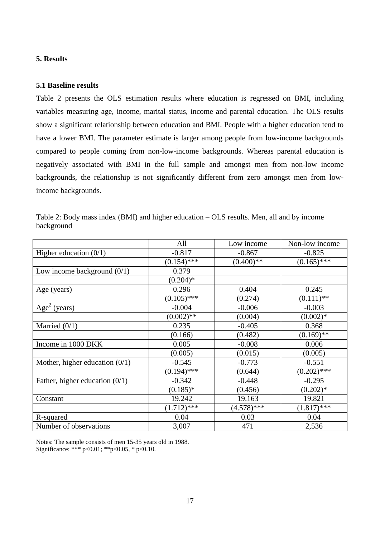#### **5. Results**

#### **5.1 Baseline results**

Table 2 presents the OLS estimation results where education is regressed on BMI, including variables measuring age, income, marital status, income and parental education. The OLS results show a significant relationship between education and BMI. People with a higher education tend to have a lower BMI. The parameter estimate is larger among people from low-income backgrounds compared to people coming from non-low-income backgrounds. Whereas parental education is negatively associated with BMI in the full sample and amongst men from non-low income backgrounds, the relationship is not significantly different from zero amongst men from lowincome backgrounds.

|                                  | All           | Low income    | Non-low income |
|----------------------------------|---------------|---------------|----------------|
| Higher education $(0/1)$         | $-0.817$      | $-0.867$      | $-0.825$       |
|                                  | $(0.154)$ *** | $(0.400)$ **  | $(0.165)$ ***  |
| Low income background $(0/1)$    | 0.379         |               |                |
|                                  | $(0.204)$ *   |               |                |
| Age (years)                      | 0.296         | 0.404         | 0.245          |
|                                  | $(0.105)$ *** | (0.274)       | $(0.111)$ **   |
| $Age2$ (years)                   | $-0.004$      | $-0.006$      | $-0.003$       |
|                                  | $(0.002)$ **  | (0.004)       | $(0.002)*$     |
| Married $(0/1)$                  | 0.235         | $-0.405$      | 0.368          |
|                                  | (0.166)       | (0.482)       | $(0.169)$ **   |
| Income in 1000 DKK               | 0.005         | $-0.008$      | 0.006          |
|                                  | (0.005)       | (0.015)       | (0.005)        |
| Mother, higher education $(0/1)$ | $-0.545$      | $-0.773$      | $-0.551$       |
|                                  | $(0.194)$ *** | (0.644)       | $(0.202)$ ***  |
| Father, higher education $(0/1)$ | $-0.342$      | $-0.448$      | $-0.295$       |
|                                  | $(0.185)^*$   | (0.456)       | $(0.202)*$     |
| Constant                         | 19.242        | 19.163        | 19.821         |
|                                  | $(1.712)$ *** | $(4.578)$ *** | $(1.817)$ ***  |
| R-squared                        | 0.04          | 0.03          | 0.04           |
| Number of observations           | 3,007         | 471           | 2,536          |

Table 2: Body mass index (BMI) and higher education – OLS results. Men, all and by income background

<span id="page-18-1"></span><span id="page-18-0"></span>Notes: The sample consists of men 15-35 years old in 1988. Significance: \*\*\* p<0.01; \*\*p<0.05, \* p<0.10.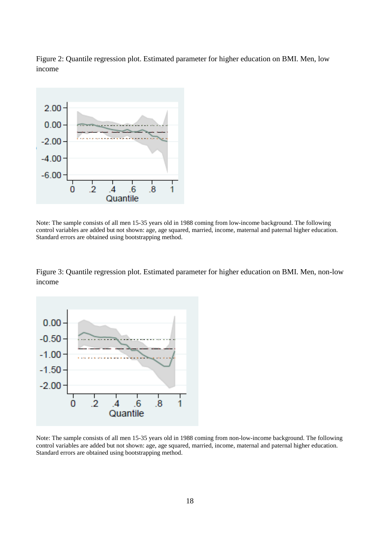Figure 2: Quantile regression plot. Estimated parameter for higher education on BMI. Men, low income



Note: The sample consists of all men 15-35 years old in 1988 coming from low-income background. The following control variables are added but not shown: age, age squared, married, income, maternal and paternal higher education. Standard errors are obtained using bootstrapping method.

Figure 3: Quantile regression plot. Estimated parameter for higher education on BMI. Men, non-low income



<span id="page-19-0"></span>Note: The sample consists of all men 15-35 years old in 1988 coming from non-low-income background. The following control variables are added but not shown: age, age squared, married, income, maternal and paternal higher education. Standard errors are obtained using bootstrapping method.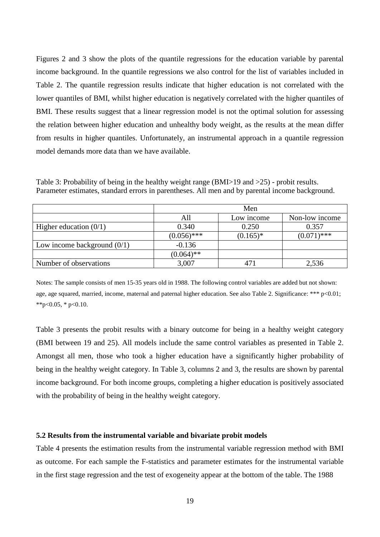Figures 2 and 3 show the plots of the quantile regressions for the education variable by parental income background. In the quantile regressions we also control for the list of variables included in Table 2. The quantile regression results indicate that higher education is not correlated with the lower quantiles of BMI, whilst higher education is negatively correlated with the higher quantiles of BMI. These results suggest that a linear regression model is not the optimal solution for assessing the relation between higher education and unhealthy body weight, as the results at the mean differ from results in higher quantiles. Unfortunately, an instrumental approach in a quantile regression model demands more data than we have available.

Table 3: Probability of being in the healthy weight range (BMI>19 and >25) - probit results. Parameter estimates, standard errors in parentheses. All men and by parental income background.

|                               | Men           |             |                |  |  |
|-------------------------------|---------------|-------------|----------------|--|--|
|                               | All           | Low income  | Non-low income |  |  |
| Higher education $(0/1)$      | 0.340         | 0.250       | 0.357          |  |  |
|                               | $(0.056)$ *** | $(0.165)^*$ | $(0.071)$ ***  |  |  |
| Low income background $(0/1)$ | $-0.136$      |             |                |  |  |
|                               | $(0.064)$ **  |             |                |  |  |
| Number of observations        | 3,007         | 471         | 2,536          |  |  |

Notes: The sample consists of men 15-35 years old in 1988. The following control variables are added but not shown: age, age squared, married, income, maternal and paternal higher education. See also Table 2. Significance: \*\*\* p<0.01; \*\*p<0.05, \* p<0.10.

Table 3 presents the probit results with a binary outcome for being in a healthy weight category (BMI between 19 and 25). All models include the same control variables as presented in Table 2. Amongst all men, those who took a higher education have a significantly higher probability of being in the healthy weight category. In Table 3, columns 2 and 3, the results are shown by parental income background. For both income groups, completing a higher education is positively associated with the probability of being in the healthy weight category.

#### **5.2 Results from the instrumental variable and bivariate probit models**

Table 4 presents the estimation results from the instrumental variable regression method with BMI as outcome. For each sample the F-statistics and parameter estimates for the instrumental variable in the first stage regression and the test of exogeneity appear at the bottom of the table. The 1988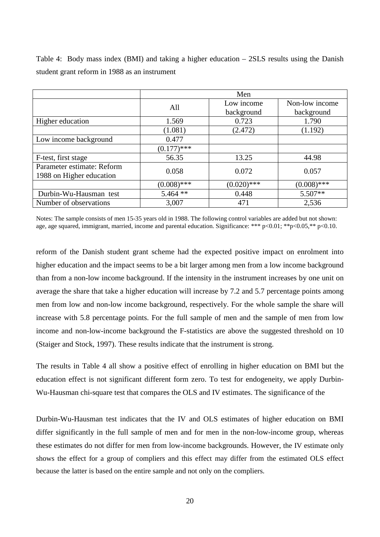|                            | Men           |               |                |  |  |
|----------------------------|---------------|---------------|----------------|--|--|
|                            | All           | Low income    | Non-low income |  |  |
|                            |               | background    | background     |  |  |
| Higher education           | 1.569         | 0.723         | 1.790          |  |  |
|                            | (1.081)       | (2.472)       | (1.192)        |  |  |
| Low income background      | 0.477         |               |                |  |  |
|                            | $(0.177)$ *** |               |                |  |  |
| F-test, first stage        | 56.35         | 13.25         | 44.98          |  |  |
| Parameter estimate: Reform | 0.058         | 0.072         | 0.057          |  |  |
| 1988 on Higher education   |               |               |                |  |  |
|                            | $(0.008)$ *** | $(0.020)$ *** | $(0.008)$ ***  |  |  |
| Durbin-Wu-Hausman test     | $5.464$ **    | 0.448         | $5.507**$      |  |  |
| Number of observations     | 3,007         | 471           | 2,536          |  |  |

Table 4: Body mass index (BMI) and taking a higher education – 2SLS results using the Danish student grant reform in 1988 as an instrument

Notes: The sample consists of men 15-35 years old in 1988. The following control variables are added but not shown: age, age squared, immigrant, married, income and parental education. Significance: \*\*\* p<0.01; \*\*p<0.05,\*\* p<0.10.

reform of the Danish student grant scheme had the expected positive impact on enrolment into higher education and the impact seems to be a bit larger among men from a low income background than from a non-low income background. If the intensity in the instrument increases by one unit on average the share that take a higher education will increase by 7.2 and 5.7 percentage points among men from low and non-low income background, respectively. For the whole sample the share will increase with 5.8 percentage points. For the full sample of men and the sample of men from low income and non-low-income background the F-statistics are above the suggested threshold on 10 (Staiger and Stock, 1997). These results indicate that the instrument is strong.

The results in Table 4 all show a positive effect of enrolling in higher education on BMI but the education effect is not significant different form zero. To test for endogeneity, we apply Durbin-Wu-Hausman chi-square test that compares the OLS and IV estimates. The significance of the

Durbin-Wu-Hausman test indicates that the IV and OLS estimates of higher education on BMI differ significantly in the full sample of men and for men in the non-low-income group, whereas these estimates do not differ for men from low-income backgrounds. However, the IV estimate only shows the effect for a group of compliers and this effect may differ from the estimated OLS effect because the latter is based on the entire sample and not only on the compliers.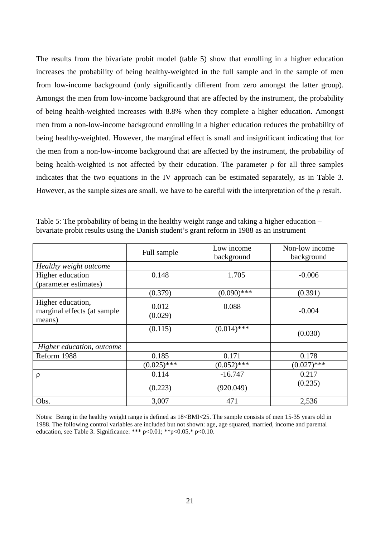The results from the bivariate probit model (table 5) show that enrolling in a higher education increases the probability of being healthy-weighted in the full sample and in the sample of men from low-income background (only significantly different from zero amongst the latter group). Amongst the men from low-income background that are affected by the instrument, the probability of being health-weighted increases with 8.8% when they complete a higher education. Amongst men from a non-low-income background enrolling in a higher education reduces the probability of being healthy-weighted. However, the marginal effect is small and insignificant indicating that for the men from a non-low-income background that are affected by the instrument, the probability of being health-weighted is not affected by their education. The parameter ρ for all three samples indicates that the two equations in the IV approach can be estimated separately, as in Table 3. However, as the sample sizes are small, we have to be careful with the interpretation of the ρ result.

|                                                            | Full sample      | Low income<br>background | Non-low income<br>background |
|------------------------------------------------------------|------------------|--------------------------|------------------------------|
| Healthy weight outcome                                     |                  |                          |                              |
| Higher education<br>(parameter estimates)                  | 0.148            | 1.705                    | $-0.006$                     |
|                                                            | (0.379)          | $(0.090)$ ***            | (0.391)                      |
| Higher education,<br>marginal effects (at sample<br>means) | 0.012<br>(0.029) | 0.088                    | $-0.004$                     |
|                                                            | (0.115)          | $(0.014)$ ***            | (0.030)                      |
| Higher education, outcome                                  |                  |                          |                              |
| Reform 1988                                                | 0.185            | 0.171                    | 0.178                        |
|                                                            | $(0.025)$ ***    | $(0.052)$ ***            | $(0.027)$ ***                |
| $\rho$                                                     | 0.114            | $-16.747$                | 0.217                        |
|                                                            | (0.223)          | (920.049)                | (0.235)                      |
| Obs.                                                       | 3,007            | 471                      | 2,536                        |

Table 5: The probability of being in the healthy weight range and taking a higher education – bivariate probit results using the Danish student's grant reform in 1988 as an instrument

Notes: Being in the healthy weight range is defined as 18<BMI<25. The sample consists of men 15-35 years old in 1988. The following control variables are included but not shown: age, age squared, married, income and parental education, see Table 3. Significance: \*\*\*  $p < 0.01$ ; \*\* $p < 0.05$ ,\*  $p < 0.10$ .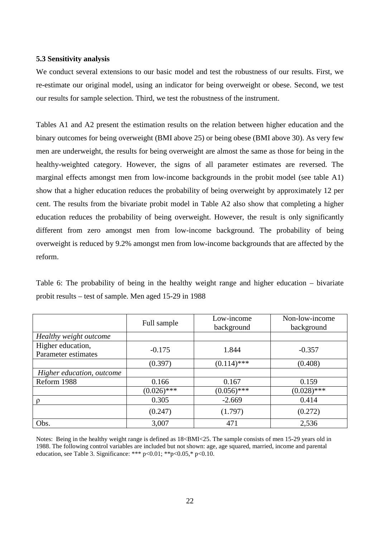#### **5.3 Sensitivity analysis**

We conduct several extensions to our basic model and test the robustness of our results. First, we re-estimate our original model, using an indicator for being overweight or obese. Second, we test our results for sample selection. Third, we test the robustness of the instrument.

Tables A1 and A2 present the estimation results on the relation between higher education and the binary outcomes for being overweight (BMI above 25) or being obese (BMI above 30). As very few men are underweight, the results for being overweight are almost the same as those for being in the healthy-weighted category. However, the signs of all parameter estimates are reversed. The marginal effects amongst men from low-income backgrounds in the probit model (see table A1) show that a higher education reduces the probability of being overweight by approximately 12 per cent. The results from the bivariate probit model in Table A2 also show that completing a higher education reduces the probability of being overweight. However, the result is only significantly different from zero amongst men from low-income background. The probability of being overweight is reduced by 9.2% amongst men from low-income backgrounds that are affected by the reform.

Table 6: The probability of being in the healthy weight range and higher education – bivariate probit results – test of sample. Men aged 15-29 in 1988

|                                          | Full sample   | Low-income<br>background | Non-low-income<br>background |
|------------------------------------------|---------------|--------------------------|------------------------------|
| Healthy weight outcome                   |               |                          |                              |
| Higher education,<br>Parameter estimates | $-0.175$      | 1.844                    | $-0.357$                     |
|                                          | (0.397)       | $(0.114)$ ***            | (0.408)                      |
| Higher education, outcome                |               |                          |                              |
| Reform 1988                              | 0.166         | 0.167                    | 0.159                        |
|                                          | $(0.026)$ *** | $(0.056)$ ***            | $(0.028)$ ***                |
|                                          | 0.305         | $-2.669$                 | 0.414                        |
|                                          | (0.247)       | (1.797)                  | (0.272)                      |
| Obs.                                     | 3,007         | 471                      | 2,536                        |

Notes: Being in the healthy weight range is defined as 18<BMI<25. The sample consists of men 15-29 years old in 1988. The following control variables are included but not shown: age, age squared, married, income and parental education, see Table 3. Significance: \*\*\*  $p < 0.01$ ; \*\* $p < 0.05$ ,\*  $p < 0.10$ .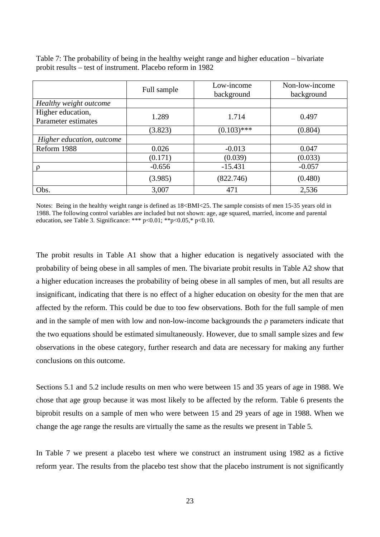|                                          | Full sample | Low-income<br>background | Non-low-income<br>background |
|------------------------------------------|-------------|--------------------------|------------------------------|
| Healthy weight outcome                   |             |                          |                              |
| Higher education,<br>Parameter estimates | 1.289       | 1.714                    | 0.497                        |
|                                          | (3.823)     | $(0.103)$ ***            | (0.804)                      |
| Higher education, outcome                |             |                          |                              |
| Reform 1988                              | 0.026       | $-0.013$                 | 0.047                        |
|                                          | (0.171)     | (0.039)                  | (0.033)                      |
|                                          | $-0.656$    | $-15.431$                | $-0.057$                     |
|                                          | (3.985)     | (822.746)                | (0.480)                      |
| Obs.                                     | 3,007       | 471                      | 2,536                        |

Table 7: The probability of being in the healthy weight range and higher education – bivariate probit results – test of instrument. Placebo reform in 1982

Notes: Being in the healthy weight range is defined as  $18\text{--}BMI<25$ . The sample consists of men 15-35 years old in 1988. The following control variables are included but not shown: age, age squared, married, income and parental education, see Table 3. Significance: \*\*\*  $p < 0.01$ ; \*\* $p < 0.05$ ,\*  $p < 0.10$ .

The probit results in Table A1 show that a higher education is negatively associated with the probability of being obese in all samples of men. The bivariate probit results in Table A2 show that a higher education increases the probability of being obese in all samples of men, but all results are insignificant, indicating that there is no effect of a higher education on obesity for the men that are affected by the reform. This could be due to too few observations. Both for the full sample of men and in the sample of men with low and non-low-income backgrounds the ρ parameters indicate that the two equations should be estimated simultaneously. However, due to small sample sizes and few observations in the obese category, further research and data are necessary for making any further conclusions on this outcome.

Sections 5.1 and 5.2 include results on men who were between 15 and 35 years of age in 1988. We chose that age group because it was most likely to be affected by the reform. Table 6 presents the biprobit results on a sample of men who were between 15 and 29 years of age in 1988. When we change the age range the results are virtually the same as the results we present in Table 5.

In Table 7 we present a placebo test where we construct an instrument using 1982 as a fictive reform year. The results from the placebo test show that the placebo instrument is not significantly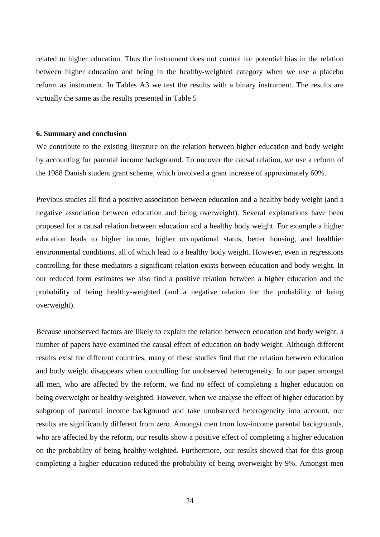related to higher education. Thus the instrument does not control for potential bias in the relation between higher education and being in the healthy-weighted category when we use a placebo reform as instrument. In Tables A3 we test the results with a binary instrument. The results are virtually the same as the results presented in Table 5

#### **6. Summary and conclusion**

We contribute to the existing literature on the relation between higher education and body weight by accounting for parental income background. To uncover the causal relation, we use a reform of the 1988 Danish student grant scheme, which involved a grant increase of approximately 60%.

Previous studies all find a positive association between education and a healthy body weight (and a negative association between education and being overweight). Several explanations have been proposed for a causal relation between education and a healthy body weight. For example a higher education leads to higher income, higher occupational status, better housing, and healthier environmental conditions, all of which lead to a healthy body weight. However, even in regressions controlling for these mediators a significant relation exists between education and body weight. In our reduced form estimates we also find a positive relation between a higher education and the probability of being healthy-weighted (and a negative relation for the probability of being overweight).

Because unobserved factors are likely to explain the relation between education and body weight, a number of papers have examined the causal effect of education on body weight. Although different results exist for different countries, many of these studies find that the relation between education and body weight disappears when controlling for unobserved heterogeneity. In our paper amongst all men, who are affected by the reform, we find no effect of completing a higher education on being overweight or healthy-weighted. However, when we analyse the effect of higher education by subgroup of parental income background and take unobserved heterogeneity into account, our results are significantly different from zero. Amongst men from low-income parental backgrounds, who are affected by the reform, our results show a positive effect of completing a higher education on the probability of being healthy-weighted. Furthermore, our results showed that for this group completing a higher education reduced the probability of being overweight by 9%. Amongst men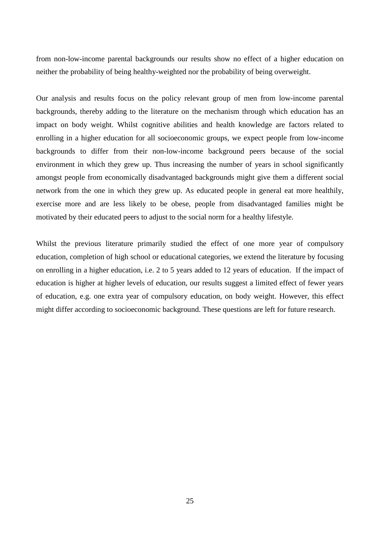from non-low-income parental backgrounds our results show no effect of a higher education on neither the probability of being healthy-weighted nor the probability of being overweight.

Our analysis and results focus on the policy relevant group of men from low-income parental backgrounds, thereby adding to the literature on the mechanism through which education has an impact on body weight. Whilst cognitive abilities and health knowledge are factors related to enrolling in a higher education for all socioeconomic groups, we expect people from low-income backgrounds to differ from their non-low-income background peers because of the social environment in which they grew up. Thus increasing the number of years in school significantly amongst people from economically disadvantaged backgrounds might give them a different social network from the one in which they grew up. As educated people in general eat more healthily, exercise more and are less likely to be obese, people from disadvantaged families might be motivated by their educated peers to adjust to the social norm for a healthy lifestyle.

Whilst the previous literature primarily studied the effect of one more year of compulsory education, completion of high school or educational categories, we extend the literature by focusing on enrolling in a higher education, i.e. 2 to 5 years added to 12 years of education. If the impact of education is higher at higher levels of education, our results suggest a limited effect of fewer years of education, e.g. one extra year of compulsory education, on body weight. However, this effect might differ according to socioeconomic background. These questions are left for future research.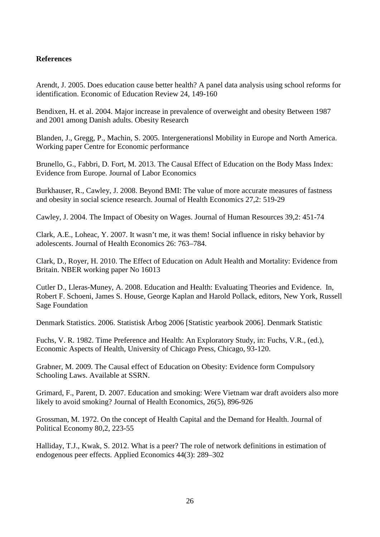#### **References**

Arendt, J. 2005. Does education cause better health? A panel data analysis using school reforms for identification. Economic of Education Review 24, 149-160

Bendixen, H. et al. 2004. Major increase in prevalence of overweight and obesity Between 1987 and 2001 among Danish adults. Obesity Research

Blanden, J., Gregg, P., Machin, S. 2005. Intergenerationsl Mobility in Europe and North America. Working paper Centre for Economic performance

Brunello, G., Fabbri, D. Fort, M. 2013. The Causal Effect of Education on the Body Mass Index: Evidence from Europe. Journal of Labor Economics

Burkhauser, R., Cawley, J. 2008. Beyond BMI: The value of more accurate measures of fastness and obesity in social science research. Journal of Health Economics 27,2: 519-29

Cawley, J. 2004. The Impact of Obesity on Wages. Journal of Human Resources 39,2: 451-74

Clark, A.E., Loheac, Y. 2007. It wasn't me, it was them! Social influence in risky behavior by adolescents. Journal of Health Economics 26: 763–784.

Clark, D., Royer, H. 2010. The Effect of Education on Adult Health and Mortality: Evidence from Britain. NBER working paper No 16013

Cutler D., Lleras-Muney, A. 2008. Education and Health: Evaluating Theories and Evidence. In, Robert F. Schoeni, James S. House, George Kaplan and Harold Pollack, editors, New York, Russell Sage Foundation

Denmark Statistics. 2006. Statistisk Årbog 2006 [Statistic yearbook 2006]. Denmark Statistic

Fuchs, V. R. 1982. Time Preference and Health: An Exploratory Study, in: Fuchs, V.R., (ed.), Economic Aspects of Health, University of Chicago Press, Chicago, 93-120.

Grabner, M. 2009. The Causal effect of Education on Obesity: Evidence form Compulsory Schooling Laws. Available at SSRN.

Grimard, F., Parent, D. 2007. Education and smoking: Were Vietnam war draft avoiders also more likely to avoid smoking? Journal of Health Economics, 26(5), 896-926

Grossman, M. 1972. On the concept of Health Capital and the Demand for Health. Journal of Political Economy 80,2, 223-55

Halliday, T.J., Kwak, S. 2012. What is a peer? The role of network definitions in estimation of endogenous peer effects. Applied Economics 44(3): 289–302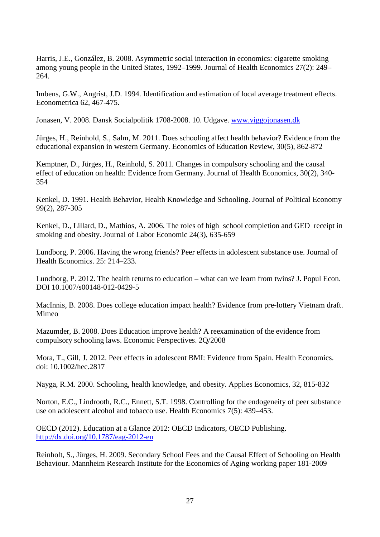Harris, J.E., González, B. 2008. Asymmetric social interaction in economics: cigarette smoking among young people in the United States, 1992–1999. Journal of Health Economics 27(2): 249– 264.

Imbens, G.W., Angrist, J.D. 1994. Identification and estimation of local average treatment effects. Econometrica 62, 467-475.

Jonasen, V. 2008. Dansk Socialpolitik 1708-2008. 10. Udgave. [www.viggojonasen.dk](http://www.viggojonasen.dk/)

Jürges, H., Reinhold, S., Salm, M. 2011. Does schooling affect health behavior? Evidence from the educational expansion in western Germany. Economics of Education Review, 30(5), 862-872

Kemptner, D., Jürges, H., Reinhold, S. 2011. Changes in compulsory schooling and the causal effect of education on health: Evidence from Germany. Journal of Health Economics, 30(2), 340- 354

Kenkel, D. 1991. Health Behavior, Health Knowledge and Schooling. Journal of Political Economy 99(2), 287-305

Kenkel, D., Lillard, D., Mathios, A. 2006. The roles of high school completion and GED receipt in smoking and obesity. Journal of Labor Economic 24(3), 635-659

Lundborg, P. 2006. Having the wrong friends? Peer effects in adolescent substance use. Journal of Health Economics. 25: 214–233.

Lundborg, P. 2012. The health returns to education – what can we learn from twins? J. Popul Econ. DOI 10.1007/s00148-012-0429-5

MacInnis, B. 2008. Does college education impact health? Evidence from pre-lottery Vietnam draft. Mimeo

Mazumder, B. 2008. Does Education improve health? A reexamination of the evidence from compulsory schooling laws. Economic Perspectives. 2Q/2008

Mora, T., Gill, J. 2012. Peer effects in adolescent BMI: Evidence from Spain. Health Economics. doi: 10.1002/hec.2817

Nayga, R.M. 2000. Schooling, health knowledge, and obesity. Applies Economics, 32, 815-832

Norton, E.C., Lindrooth, R.C., Ennett, S.T. 1998. Controlling for the endogeneity of peer substance use on adolescent alcohol and tobacco use. Health Economics 7(5): 439–453.

OECD (2012). Education at a Glance 2012: OECD Indicators, OECD Publishing. <http://dx.doi.org/10.1787/eag-2012-en>

Reinholt, S., Jürges, H. 2009. Secondary School Fees and the Causal Effect of Schooling on Health Behaviour. Mannheim Research Institute for the Economics of Aging working paper 181-2009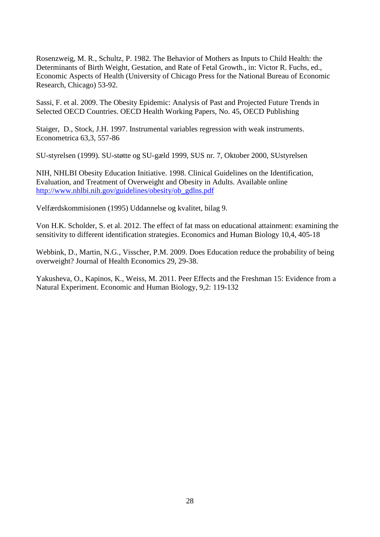Rosenzweig, M. R., Schultz, P. 1982. The Behavior of Mothers as Inputs to Child Health: the Determinants of Birth Weight, Gestation, and Rate of Fetal Growth., in: Victor R. Fuchs, ed., Economic Aspects of Health (University of Chicago Press for the National Bureau of Economic Research, Chicago) 53-92.

Sassi, F. et al. 2009. The Obesity Epidemic: Analysis of Past and Projected Future Trends in Selected OECD Countries. OECD Health Working Papers, No. 45, OECD Publishing

Staiger, D., Stock, J.H. 1997. Instrumental variables regression with weak instruments. Econometrica 63,3, 557-86

SU-styrelsen (1999). SU-støtte og SU-gæld 1999, SUS nr. 7, Oktober 2000, SUstyrelsen

NIH, NHLBI Obesity Education Initiative. 1998. Clinical Guidelines on the Identification, Evaluation, and Treatment of Overweight and Obesity in Adults. Available online [http://www.nhlbi.nih.gov/guidelines/obesity/ob\\_gdlns.pdf](http://www.nhlbi.nih.gov/guidelines/obesity/ob_gdlns.pdf)

Velfærdskommisionen (1995) Uddannelse og kvalitet, bilag 9.

Von H.K. Scholder, S. et al. 2012. The effect of fat mass on educational attainment: examining the sensitivity to different identification strategies. Economics and Human Biology 10,4, 405-18

Webbink, D., Martin, N.G., Visscher, P.M. 2009. Does Education reduce the probability of being overweight? Journal of Health Economics 29, 29-38.

Yakusheva, O., Kapinos, K., Weiss, M. 2011. Peer Effects and the Freshman 15: Evidence from a Natural Experiment. Economic and Human Biology, 9,2: 119-132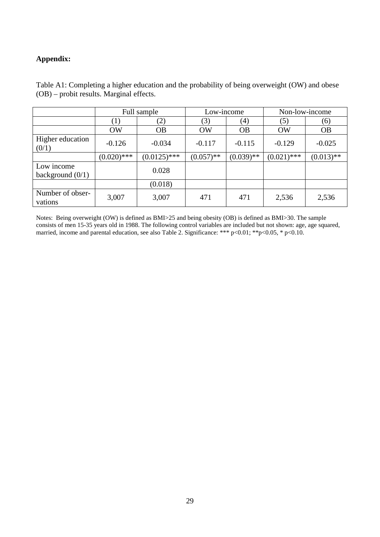#### **Appendix:**

|                                  | Full sample   |                | Low-income   |              | Non-low-income |              |
|----------------------------------|---------------|----------------|--------------|--------------|----------------|--------------|
|                                  | (1)           | (2)            | (3)          | (4)          | (5)            | (6)          |
|                                  | OW            | <b>OB</b>      | <b>OW</b>    | <b>OB</b>    | <b>OW</b>      | <b>OB</b>    |
| Higher education<br>(0/1)        | $-0.126$      | $-0.034$       | $-0.117$     | $-0.115$     | $-0.129$       | $-0.025$     |
|                                  | $(0.020)$ *** | $(0.0125)$ *** | $(0.057)$ ** | $(0.039)$ ** | $(0.021)$ ***  | $(0.013)$ ** |
| Low income<br>background $(0/1)$ |               | 0.028          |              |              |                |              |
|                                  |               | (0.018)        |              |              |                |              |
| Number of obser-<br>vations      | 3,007         | 3,007          | 471          | 471          | 2,536          | 2,536        |

Table A1: Completing a higher education and the probability of being overweight (OW) and obese (OB) – probit results. Marginal effects.

Notes: Being overweight (OW) is defined as BMI>25 and being obesity (OB) is defined as BMI>30. The sample consists of men 15-35 years old in 1988. The following control variables are included but not shown: age, age squared, married, income and parental education, see also Table 2. Significance: \*\*\* p<0.01; \*\*p<0.05, \* p<0.10.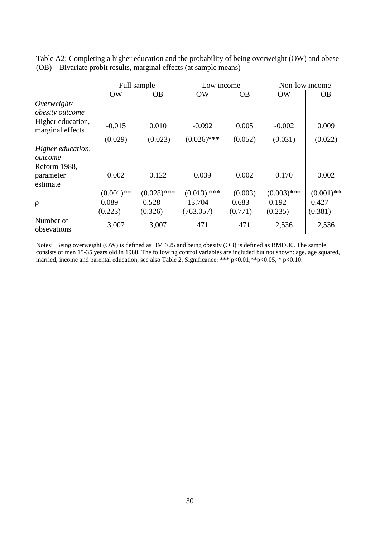|                   | Full sample  |               | Low income    |           | Non-low income |              |
|-------------------|--------------|---------------|---------------|-----------|----------------|--------------|
|                   | <b>OW</b>    | <b>OB</b>     | OW            | <b>OB</b> | OW             | <b>OB</b>    |
| Overweight/       |              |               |               |           |                |              |
| obesity outcome   |              |               |               |           |                |              |
| Higher education, | $-0.015$     | 0.010         | $-0.092$      | 0.005     | $-0.002$       | 0.009        |
| marginal effects  |              |               |               |           |                |              |
|                   | (0.029)      | (0.023)       | $(0.026)$ *** | (0.052)   | (0.031)        | (0.022)      |
| Higher education, |              |               |               |           |                |              |
| outcome           |              |               |               |           |                |              |
| Reform 1988,      |              |               |               |           |                |              |
| parameter         | 0.002        | 0.122         | 0.039         | 0.002     | 0.170          | 0.002        |
| estimate          |              |               |               |           |                |              |
|                   | $(0.001)$ ** | $(0.028)$ *** | $(0.013)$ *** | (0.003)   | $(0.003)$ ***  | $(0.001)$ ** |
| $\Omega$          | $-0.089$     | $-0.528$      | 13.704        | $-0.683$  | $-0.192$       | $-0.427$     |
|                   | (0.223)      | (0.326)       | (763.057)     | (0.771)   | (0.235)        | (0.381)      |
| Number of         |              |               | 471           |           |                |              |
| obsevations       | 3,007        | 3,007         |               | 471       | 2,536          | 2,536        |

Table A2: Completing a higher education and the probability of being overweight (OW) and obese (OB) – Bivariate probit results, marginal effects (at sample means)

Notes: Being overweight (OW) is defined as BMI>25 and being obesity (OB) is defined as BMI>30. The sample consists of men 15-35 years old in 1988. The following control variables are included but not shown: age, age squared, married, income and parental education, see also Table 2. Significance: \*\*\* p<0.01; \*\* p<0.05, \* p<0.10.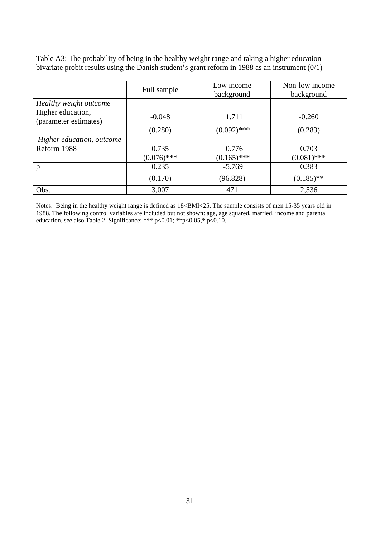|                                            | Full sample   | Low income<br>background | Non-low income<br>background |
|--------------------------------------------|---------------|--------------------------|------------------------------|
| Healthy weight outcome                     |               |                          |                              |
| Higher education,<br>(parameter estimates) | $-0.048$      | 1.711                    | $-0.260$                     |
|                                            | (0.280)       | $(0.092)$ ***            | (0.283)                      |
| Higher education, outcome                  |               |                          |                              |
| Reform 1988                                | 0.735         | 0.776                    | 0.703                        |
|                                            | $(0.076)$ *** | $(0.165)$ ***            | $(0.081)$ ***                |
| p                                          | 0.235         | $-5.769$                 | 0.383                        |
|                                            | (0.170)       | (96.828)                 | $(0.185)$ **                 |
| Obs.                                       | 3,007         | 471                      | 2,536                        |

Table A3: The probability of being in the healthy weight range and taking a higher education – bivariate probit results using the Danish student's grant reform in 1988 as an instrument (0/1)

Notes: Being in the healthy weight range is defined as 18<BMI<25. The sample consists of men 15-35 years old in 1988. The following control variables are included but not shown: age, age squared, married, income and parental education, see also Table 2. Significance: \*\*\* p<0.01; \*\*p<0.05,\* p<0.10.